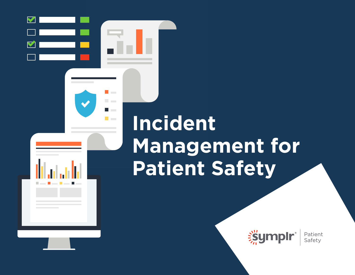# **Incident Management for Patient Safety**

 $\blacktriangledown$ 

**The Co** 

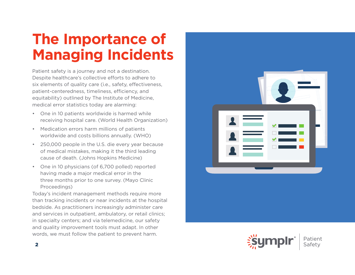# **The Importance of Managing Incidents**

Patient safety is a journey and not a destination. Despite healthcare's collective efforts to adhere to six elements of quality care (i.e., safety, effectiveness, patient-centeredness, timeliness, efficiency, and equitability) outlined by The Institute of Medicine, medical error statistics today are alarming:

- One in 10 patients worldwide is harmed while receiving hospital care. (World Health Organization)
- Medication errors harm millions of patients worldwide and costs billions annually. (WHO)
- 250,000 people in the U.S. die every year because of medical mistakes, making it the third leading cause of death. (Johns Hopkins Medicine)
- One in 10 physicians (of 6,700 polled) reported having made a major medical error in the three months prior to one survey. (Mayo Clinic Proceedings)

Today's incident management methods require more than tracking incidents or near incidents at the hospital bedside. As practitioners increasingly administer care and services in outpatient, ambulatory, or retail clinics; in specialty centers; and via telemedicine, our safety and quality improvement tools must adapt. In other words, we must follow the patient to prevent harm.



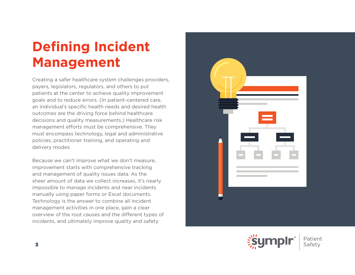# **Defining Incident Management**

Creating a safer healthcare system challenges providers, payers, legislators, regulators, and others to put patients at the center to achieve quality improvement goals and to reduce errors. (In patient-centered care, an individual's specific health needs and desired health outcomes are the driving force behind healthcare decisions and quality measurements.) Healthcare risk management efforts must be comprehensive. They must encompass technology, legal and administrative policies, practitioner training, and operating and delivery modes.

Because we can't improve what we don't measure, improvement starts with comprehensive tracking and management of quality issues data. As the sheer amount of data we collect increases, it's nearly impossible to manage incidents and near incidents manually using paper forms or Excel documents. Technology is the answer to combine all incident management activities in one place, gain a clear overview of the root causes and the different types of incidents, and ultimately improve quality and safety.



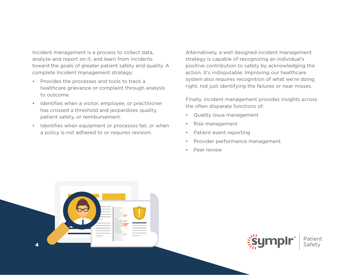Incident management is a process to collect data, analyze and report on it, and learn from incidents toward the goals of greater patient safety and quality. A complete Incident management strategy:

- Provides the processes and tools to track a healthcare grievance or complaint through analysis to outcome.
- Identifies when a visitor, employee, or practitioner has crossed a threshold and jeopardizes quality, patient safety, or reimbursement.
- Identifies when equipment or processes fail, or when a policy is not adhered to or requires revision.

Alternatively, a well designed incident management strategy is capable of recognizing an individual's positive contribution to safety by acknowledging the action. It's indisputable: Improving our healthcare system also requires recognition of what we're doing right, not just identifying the failures or near misses.

Finally, incident management provides insights across the often disparate functions of:

- Quality issue management
- Risk management
- Patient event reporting
- Provider performance management
- Peer review



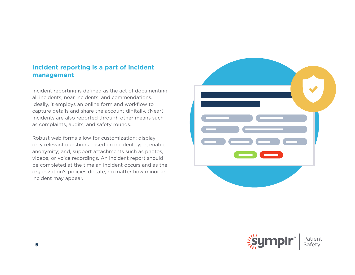#### **Incident reporting is a part of incident management**

Incident reporting is defined as the act of documenting all incidents, near incidents, and commendations. Ideally, it employs an online form and workflow to capture details and share the account digitally. (Near) Incidents are also reported through other means such as complaints, audits, and safety rounds.

Robust web forms allow for customization; display only relevant questions based on incident type; enable anonymity; and, support attachments such as photos, videos, or voice recordings. An incident report should be completed at the time an incident occurs and as the organization's policies dictate, no matter how minor an incident may appear.



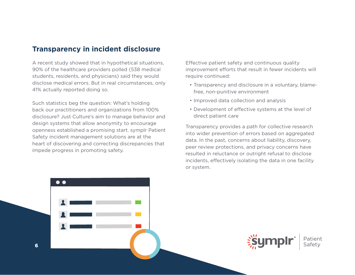### **Transparency in incident disclosure**

A recent study showed that in hypothetical situations, 90% of the healthcare providers polled (538 medical students, residents, and physicians) said they would disclose medical errors. But in real circumstances, only 41% actually reported doing so.

Such statistics beg the question: What's holding back our practitioners and organizations from 100% disclosure? Just Culture's aim to manage behavior and design systems that allow anonymity to encourage openness established a promising start. symplr Patient Safety incident management solutions are at the heart of discovering and correcting discrepancies that impede progress in promoting safety.

Effective patient safety and continuous quality improvement efforts that result in fewer incidents will require continued:

- Transparency and disclosure in a voluntary, blamefree, non-punitive environment
- Improved data collection and analysis
- Development of effective systems at the level of direct patient care

Transparency provides a path for collective research into wider prevention of errors based on aggregated data. In the past, concerns about liability, discovery, peer review protections, and privacy concerns have resulted in reluctance or outright refusal to disclose incidents, effectively isolating the data in one facility or system.



6 6

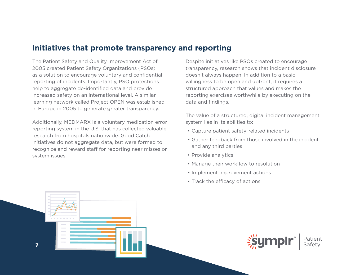### **Initiatives that promote transparency and reporting**

The Patient Safety and Quality Improvement Act of 2005 created Patient Safety Organizations (PSOs) as a solution to encourage voluntary and confidential reporting of incidents. Importantly, PSO protections help to aggregate de-identified data and provide increased safety on an international level. A similar learning network called Project OPEN was established in Europe in 2005 to generate greater transparency.

Additionally, MEDMARX is a voluntary medication error reporting system in the U.S. that has collected valuable research from hospitals nationwide. Good Catch initiatives do not aggregate data, but were formed to recognize and reward staff for reporting near misses or system issues.

Despite initiatives like PSOs created to encourage transparency, research shows that incident disclosure doesn't always happen. In addition to a basic willingness to be open and upfront, it requires a structured approach that values and makes the reporting exercises worthwhile by executing on the data and findings.

The value of a structured, digital incident management system lies in its abilities to:

- Capture patient safety-related incidents
- Gather feedback from those involved in the incident and any third parties
- Provide analytics
- Manage their workflow to resolution
- Implement improvement actions
- Track the efficacy of actions



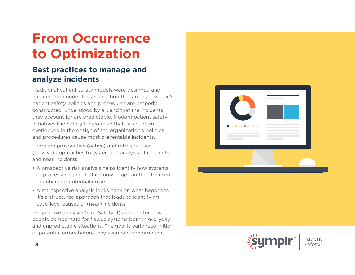# **From Occurrence to Optimization**

### **Best practices to manage and analyze incidents**

Traditional patient safety models were designed and implemented under the assumption that an organization's patient safety policies and procedures are properly constructed, understood by all, and that the incidents they account for are predictable. Modern patient safety initiatives like Safety-II recognize that issues often overlooked in the design of the organization's policies and procedures cause most preventable incidents.

There are prospective (active) and retrospective (passive) approaches to systematic analysis of incidents and near incidents:

- A prospective risk analysis helps identify how systems or processes can fail. This knowledge can then be used to anticipate potential errors.
- A retrospective analysis looks back on what happened. It's a structured approach that leads to identifying base-level causes of (near) incidents.

Prospective analyses (e.g., Safety-II) account for how people compensate for flawed systems both in everyday and unpredictable situations. The goal is early recognition of potential errors before they even become problems.



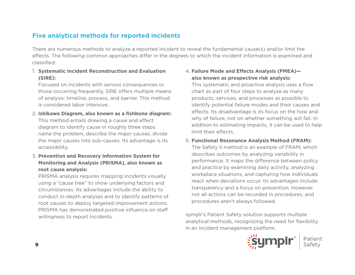#### **Five analytical methods for reported incidents**

There are numerous methods to analyze a reported incident to reveal the fundamental cause(s) and/or limit the effects. The following common approaches differ in the degrees to which the incident information is examined and classified:

1. **Systematic Incident Reconstruction and Evaluation (SIRE):**

Focused on incidents with serious consequences or those occurring frequently, SIRE offers multiple means of analysis: timeline, process, and barrier. This method is considered labor intensive.

- 2. **Ishikawa Diagram, also known as a fishbone diagram:** This method entails drawing a cause and effect diagram to identify cause in roughly three steps: name the problem, describe the major causes, divide the major causes into sub-causes. Its advantage is its accessibility.
- 3. **Prevention and Recovery Information System for Monitoring and Analysis (PRISMA), also known as root cause analysis:**

PRISMA analysis requires mapping incidents visually using a "cause tree" to show underlying factors and circumstances. Its advantages include the ability to conduct in-depth analyses and to identify patterns of root causes to deploy targeted improvement actions. PRISMA has demonstrated positive influence on staff willingness to report incidents.

#### 4. **Failure Mode and Effects Analysis (FMEA) also known as prospective risk analysis:**

This systematic and proactive analysis uses a flow chart as part of four steps to analyze as many products, services, and processes as possible to identify potential failure modes and their causes and effects. Its disadvantage is its focus on the how and why of failure, not on whether something will fail. In addition to estimating impacts, it can be used to help limit their effects.

#### 5. **Functional Resonance Analysis Method (FRAM):** The Safety II method is an example of FRAM, which describes outcomes by analyzing variability in performance. It maps the difference between policy and practice by examining daily activity, analyzing workplace situations, and capturing how individuals react when deviations occur. Its advantages include transparency and a focus on prevention. However, not all actions can be recorded in procedures, and procedures aren't always followed.

symplr's Patient Safety solution supports multiple analytical methods, recognizing the need for flexibility in an incident management platform.

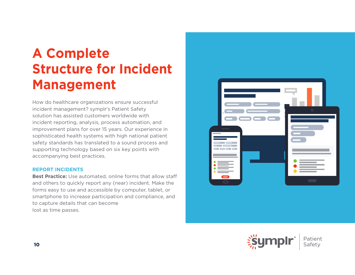# **A Complete Structure for Incident Management**

How do healthcare organizations ensure successful incident management? symplr's Patient Safety solution has assisted customers worldwide with incident reporting, analysis, process automation, and improvement plans for over 15 years. Our experience in sophisticated health systems with high national patient safety standards has translated to a sound process and supporting technology based on six key points with accompanying best practices.

#### **REPORT INCIDENTS**

**Best Practice:** Use automated, online forms that allow staff and others to quickly report any (near) incident. Make the forms easy to use and accessible by computer, tablet, or smartphone to increase participation and compliance, and to capture details that can become lost as time passes.



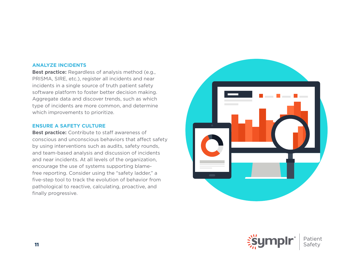#### **ANALYZE INCIDENTS**

**Best practice:** Regardless of analysis method (e.g., PRISMA, SIRE, etc.), register all incidents and near incidents in a single source of truth patient safety software platform to foster better decision making. Aggregate data and discover trends, such as which type of incidents are more common, and determine which improvements to prioritize.

#### **ENSURE A SAFETY CULTURE**

**Best practice:** Contribute to staff awareness of conscious and unconscious behaviors that affect safety by using interventions such as audits, safety rounds, and team-based analysis and discussion of incidents and near incidents. At all levels of the organization, encourage the use of systems supporting blamefree reporting. Consider using the "safety ladder," a five-step tool to track the evolution of behavior from pathological to reactive, calculating, proactive, and finally progressive.



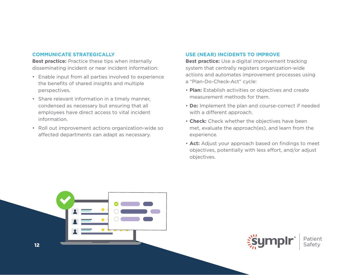#### **COMMUNICATE STRATEGICALLY**

**Best practice:** Practice these tips when internally disseminating incident or near incident information:

- Enable input from all parties involved to experience the benefits of shared insights and multiple perspectives.
- Share relevant information in a timely manner, condensed as necessary but ensuring that all employees have direct access to vital incident information.
- Roll out improvement actions organization-wide so affected departments can adapt as necessary.

#### **USE (NEAR) INCIDENTS TO IMPROVE**

**Best practice:** Use a digital improvement tracking system that centrally registers organization-wide actions and automates improvement processes using a "Plan-Do-Check-Act" cycle:

- **Plan:** Establish activities or objectives and create measurement methods for them.
- **Do:** Implement the plan and course-correct if needed with a different approach.
- **Check:** Check whether the objectives have been met, evaluate the approach(es), and learn from the experience.
- **Act:** Adjust your approach based on findings to meet objectives, potentially with less effort, and/or adjust objectives.



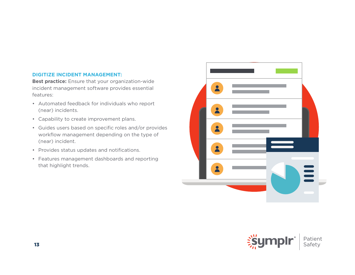#### **DIGITIZE INCIDENT MANAGEMENT:**

**Best practice:** Ensure that your organization-wide incident management software provides essential features:

- Automated feedback for individuals who report (near) incidents.
- Capability to create improvement plans.
- Guides users based on specific roles and/or provides workflow management depending on the type of (near) incident.
- Provides status updates and notifications.
- Features management dashboards and reporting that highlight trends.



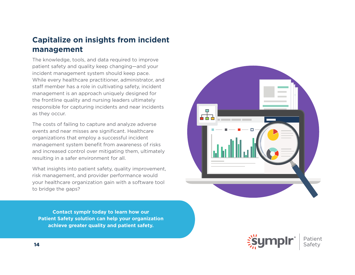### **Capitalize on insights from incident management**

The knowledge, tools, and data required to improve patient safety and quality keep changing—and your incident management system should keep pace. While every healthcare practitioner, administrator, and staff member has a role in cultivating safety, incident management is an approach uniquely designed for the frontline quality and nursing leaders ultimately responsible for capturing incidents and near incidents as they occur.

The costs of failing to capture and analyze adverse events and near misses are significant. Healthcare organizations that employ a successful incident management system benefit from awareness of risks and increased control over mitigating them, ultimately resulting in a safer environment for all.

What insights into patient safety, quality improvement, risk management, and provider performance would your healthcare organization gain with a software tool to bridge the gaps?

도구구

**Contact symplr today to learn how our Patient Safety solution can help your organization achieve greater quality and patient safety.**